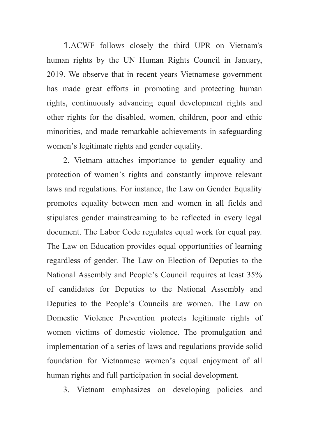1.ACWF follows closely the third UPR on Vietnam's human rights by the UN Human Rights Council in January, 2019. We observe that in recent years Vietnamese government has made great efforts in promoting and protecting human rights, continuously advancing equal development rights and other rights for the disabled, women, children, poor and ethic minorities, and made remarkable achievements in safeguarding women's legitimate rights and gender equality.

 2. Vietnam attaches importance to gender equality and protection of women's rights and constantly improve relevant laws and regulations. For instance, the Law on Gender Equality promotes equality between men and women in all fields and stipulates gender mainstreaming to be reflected in every legal document. The Labor Code regulates equal work for equal pay. The Law on Education provides equal opportunities of learning regardless of gender. The Law on Election of Deputies to the National Assembly and People's Council requires at least 35% of candidates for Deputies to the National Assembly and Deputies to the People's Councils are women. The Law on Domestic Violence Prevention protects legitimate rights of women victims of domestic violence. The promulgation and implementation of a series of laws and regulations provide solid foundation for Vietnamese women's equal enjoyment of all human rights and full participation in social development.

3. Vietnam emphasizes on developing policies and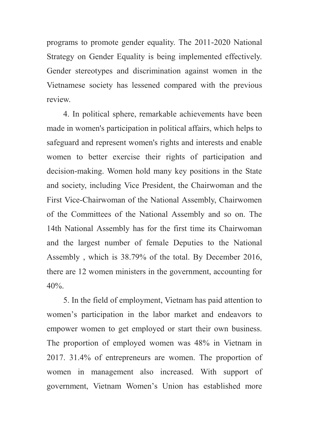programs to promote gender equality. The 2011-2020 National Strategy on Gender Equality is being implemented effectively. Gender stereotypes and discrimination against women in the Vietnamese society has lessened compared with the previous review.

 4. In political sphere, remarkable achievements have been made in women's participation in political affairs, which helps to safeguard and represent women's rights and interests and enable women to better exercise their rights of participation and decision-making. Women hold many key positions in the State and society, including Vice President, the Chairwoman and the First Vice-Chairwoman of the National Assembly, Chairwomen of the Committees of the National Assembly and so on. The 14th National Assembly has for the first time its Chairwoman and the largest number of female Deputies to the National Assembly , which is 38.79% of the total. By December 2016, there are 12 women ministers in the government, accounting for  $40%$ 

 5. In the field of employment, Vietnam has paid attention to women's participation in the labor market and endeavors to empower women to get employed or start their own business. The proportion of employed women was 48% in Vietnam in 2017. 31.4% of entrepreneurs are women. The proportion of women in management also increased. With support of government, Vietnam Women's Union has established more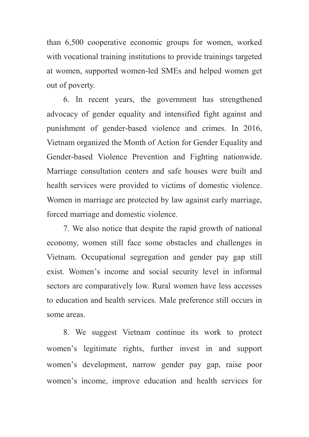than 6,500 cooperative economic groups for women, worked with vocational training institutions to provide trainings targeted at women, supported women-led SMEs and helped women get out of poverty.

 6. In recent years, the government has strengthened advocacy of gender equality and intensified fight against and punishment of gender-based violence and crimes. In 2016, Vietnam organized the Month of Action for Gender Equality and Gender-based Violence Prevention and Fighting nationwide. Marriage consultation centers and safe houses were built and health services were provided to victims of domestic violence. Women in marriage are protected by law against early marriage, forced marriage and domestic violence.

 7. We also notice that despite the rapid growth of national economy, women still face some obstacles and challenges in Vietnam. Occupational segregation and gender pay gap still exist. Women's income and social security level in informal sectors are comparatively low. Rural women have less accesses to education and health services. Male preference still occurs in some areas.

 8. We suggest Vietnam continue its work to protect women's legitimate rights, further invest in and support women's development, narrow gender pay gap, raise poor women's income, improve education and health services for